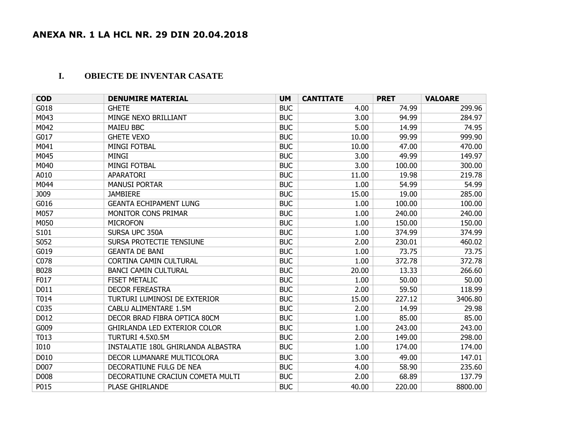## **I. OBIECTE DE INVENTAR CASATE**

| <b>COD</b>  | <b>DENUMIRE MATERIAL</b>            | <b>UM</b>  | <b>CANTITATE</b> | <b>PRET</b> | <b>VALOARE</b> |
|-------------|-------------------------------------|------------|------------------|-------------|----------------|
| G018        | <b>GHETE</b>                        | <b>BUC</b> | 4.00             | 74.99       | 299.96         |
| M043        | MINGE NEXO BRILLIANT                | <b>BUC</b> | 3.00             | 94.99       | 284.97         |
| M042        | <b>MAIEU BBC</b>                    | <b>BUC</b> | 5.00             | 14.99       | 74.95          |
| G017        | <b>GHETE VEXO</b>                   | <b>BUC</b> | 10.00            | 99.99       | 999.90         |
| M041        | <b>MINGI FOTBAL</b>                 | <b>BUC</b> | 10.00            | 47.00       | 470.00         |
| M045        | <b>MINGI</b>                        | <b>BUC</b> | 3.00             | 49.99       | 149.97         |
| M040        | <b>MINGI FOTBAL</b>                 | <b>BUC</b> | 3.00             | 100.00      | 300.00         |
| A010        | APARATORI                           | <b>BUC</b> | 11.00            | 19.98       | 219.78         |
| M044        | <b>MANUSI PORTAR</b>                | <b>BUC</b> | 1.00             | 54.99       | 54.99          |
| J009        | <b>JAMBIERE</b>                     | <b>BUC</b> | 15.00            | 19.00       | 285.00         |
| G016        | <b>GEANTA ECHIPAMENT LUNG</b>       | <b>BUC</b> | 1.00             | 100.00      | 100.00         |
| M057        | <b>MONITOR CONS PRIMAR</b>          | <b>BUC</b> | 1.00             | 240.00      | 240.00         |
| M050        | <b>MICROFON</b>                     | <b>BUC</b> | 1.00             | 150.00      | 150.00         |
| S101        | SURSA UPC 350A                      | <b>BUC</b> | 1.00             | 374.99      | 374.99         |
| S052        | SURSA PROTECTIE TENSIUNE            | <b>BUC</b> | 2.00             | 230.01      | 460.02         |
| G019        | <b>GEANTA DE BANI</b>               | <b>BUC</b> | 1.00             | 73.75       | 73.75          |
| C078        | <b>CORTINA CAMIN CULTURAL</b>       | <b>BUC</b> | 1.00             | 372.78      | 372.78         |
| B028        | <b>BANCI CAMIN CULTURAL</b>         | <b>BUC</b> | 20.00            | 13.33       | 266.60         |
| F017        | <b>FISET METALIC</b>                | <b>BUC</b> | 1.00             | 50.00       | 50.00          |
| D011        | <b>DECOR FEREASTRA</b>              | <b>BUC</b> | 2.00             | 59.50       | 118.99         |
| T014        | TURTURI LUMINOSI DE EXTERIOR        | <b>BUC</b> | 15.00            | 227.12      | 3406.80        |
| C035        | CABLU ALIMENTARE 1.5M               | <b>BUC</b> | 2.00             | 14.99       | 29.98          |
| D012        | DECOR BRAD FIBRA OPTICA 80CM        | <b>BUC</b> | 1.00             | 85.00       | 85.00          |
| G009        | <b>GHIRLANDA LED EXTERIOR COLOR</b> | <b>BUC</b> | 1.00             | 243.00      | 243.00         |
| T013        | TURTURI 4.5X0.5M                    | <b>BUC</b> | 2.00             | 149.00      | 298.00         |
| <b>I010</b> | INSTALATIE 180L GHIRLANDA ALBASTRA  | <b>BUC</b> | 1.00             | 174.00      | 174.00         |
| D010        | DECOR LUMANARE MULTICOLORA          | <b>BUC</b> | 3.00             | 49.00       | 147.01         |
| D007        | DECORATIUNE FULG DE NEA             | <b>BUC</b> | 4.00             | 58.90       | 235.60         |
| D008        | DECORATIUNE CRACIUN COMETA MULTI    | <b>BUC</b> | 2.00             | 68.89       | 137.79         |
| P015        | PLASE GHIRLANDE                     | <b>BUC</b> | 40.00            | 220.00      | 8800.00        |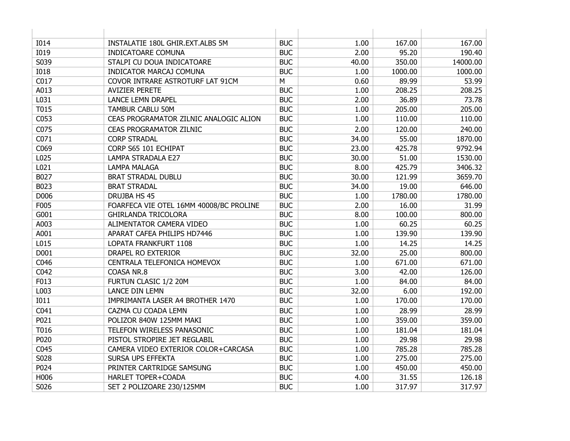| <b>I014</b> | INSTALATIE 180L GHIR.EXT.ALBS 5M        | <b>BUC</b> | 1.00  | 167.00  | 167.00   |
|-------------|-----------------------------------------|------------|-------|---------|----------|
| <b>I019</b> | <b>INDICATOARE COMUNA</b>               | <b>BUC</b> | 2.00  | 95.20   | 190.40   |
| S039        | STALPI CU DOUA INDICATOARE              | <b>BUC</b> | 40.00 | 350.00  | 14000.00 |
| <b>I018</b> | INDICATOR MARCAJ COMUNA                 | <b>BUC</b> | 1.00  | 1000.00 | 1000.00  |
| C017        | COVOR INTRARE ASTROTURF LAT 91CM        | M          | 0.60  | 89.99   | 53.99    |
| A013        | <b>AVIZIER PERETE</b>                   | <b>BUC</b> | 1.00  | 208.25  | 208.25   |
| L031        | <b>LANCE LEMN DRAPEL</b>                | <b>BUC</b> | 2.00  | 36.89   | 73.78    |
| T015        | <b>TAMBUR CABLU 50M</b>                 | <b>BUC</b> | 1.00  | 205.00  | 205.00   |
| C053        | CEAS PROGRAMATOR ZILNIC ANALOGIC ALION  | <b>BUC</b> | 1.00  | 110.00  | 110.00   |
| C075        | <b>CEAS PROGRAMATOR ZILNIC</b>          | <b>BUC</b> | 2.00  | 120.00  | 240.00   |
| C071        | <b>CORP STRADAL</b>                     | <b>BUC</b> | 34.00 | 55.00   | 1870.00  |
| C069        | CORP S65 101 ECHIPAT                    | <b>BUC</b> | 23.00 | 425.78  | 9792.94  |
| L025        | <b>LAMPA STRADALA E27</b>               | <b>BUC</b> | 30.00 | 51.00   | 1530.00  |
| L021        | <b>LAMPA MALAGA</b>                     | <b>BUC</b> | 8.00  | 425.79  | 3406.32  |
| B027        | <b>BRAT STRADAL DUBLU</b>               | <b>BUC</b> | 30.00 | 121.99  | 3659.70  |
| B023        | <b>BRAT STRADAL</b>                     | <b>BUC</b> | 34.00 | 19.00   | 646.00   |
| D006        | DRUJBA HS 45                            | <b>BUC</b> | 1.00  | 1780.00 | 1780.00  |
| F005        | FOARFECA VIE OTEL 16MM 40008/BC PROLINE | <b>BUC</b> | 2.00  | 16.00   | 31.99    |
| G001        | <b>GHIRLANDA TRICOLORA</b>              | <b>BUC</b> | 8.00  | 100.00  | 800.00   |
| A003        | ALIMENTATOR CAMERA VIDEO                | <b>BUC</b> | 1.00  | 60.25   | 60.25    |
| A001        | APARAT CAFEA PHILIPS HD7446             | <b>BUC</b> | 1.00  | 139.90  | 139.90   |
| L015        | LOPATA FRANKFURT 1108                   | <b>BUC</b> | 1.00  | 14.25   | 14.25    |
| D001        | DRAPEL RO EXTERIOR                      | <b>BUC</b> | 32.00 | 25.00   | 800.00   |
| C046        | CENTRALA TELEFONICA HOMEVOX             | <b>BUC</b> | 1.00  | 671.00  | 671.00   |
| C042        | COASA NR.8                              | <b>BUC</b> | 3.00  | 42.00   | 126.00   |
| F013        | FURTUN CLASIC 1/2 20M                   | <b>BUC</b> | 1.00  | 84.00   | 84.00    |
| L003        | <b>LANCE DIN LEMN</b>                   | <b>BUC</b> | 32.00 | 6.00    | 192.00   |
| <b>I011</b> | IMPRIMANTA LASER A4 BROTHER 1470        | <b>BUC</b> | 1.00  | 170.00  | 170.00   |
| C041        | CAZMA CU COADA LEMN                     | <b>BUC</b> | 1.00  | 28.99   | 28.99    |
| P021        | POLIZOR 840W 125MM MAKI                 | <b>BUC</b> | 1.00  | 359.00  | 359.00   |
| T016        | TELEFON WIRELESS PANASONIC              | <b>BUC</b> | 1.00  | 181.04  | 181.04   |
| P020        | PISTOL STROPIRE JET REGLABIL            | <b>BUC</b> | 1.00  | 29.98   | 29.98    |
| C045        | CAMERA VIDEO EXTERIOR COLOR+CARCASA     | <b>BUC</b> | 1.00  | 785.28  | 785.28   |
| S028        | SURSA UPS EFFEKTA                       | <b>BUC</b> | 1.00  | 275.00  | 275.00   |
| P024        | PRINTER CARTRIDGE SAMSUNG               | <b>BUC</b> | 1.00  | 450.00  | 450.00   |
| H006        | HARLET TOPER+COADA                      | <b>BUC</b> | 4.00  | 31.55   | 126.18   |
| S026        | SET 2 POLIZOARE 230/125MM               | <b>BUC</b> | 1.00  | 317.97  | 317.97   |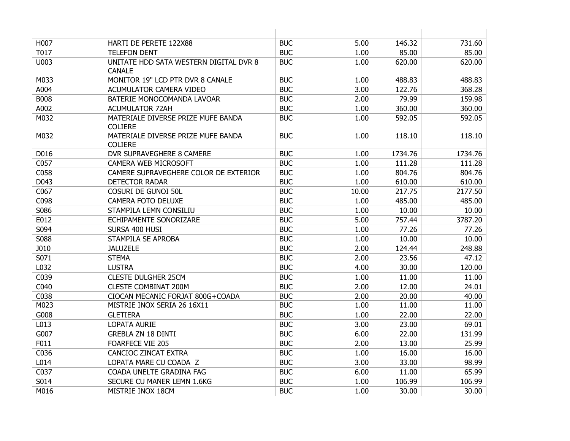| H007        | HARTI DE PERETE 122X88                                  | <b>BUC</b> | 5.00  | 146.32  | 731.60  |
|-------------|---------------------------------------------------------|------------|-------|---------|---------|
| T017        | <b>TELEFON DENT</b>                                     | <b>BUC</b> | 1.00  | 85.00   | 85.00   |
| U003        | UNITATE HDD SATA WESTERN DIGITAL DVR 8<br><b>CANALE</b> | <b>BUC</b> | 1.00  | 620.00  | 620.00  |
| M033        | MONITOR 19" LCD PTR DVR 8 CANALE                        | <b>BUC</b> | 1.00  | 488.83  | 488.83  |
| A004        | ACUMULATOR CAMERA VIDEO                                 | <b>BUC</b> | 3.00  | 122.76  | 368.28  |
| <b>B008</b> | BATERIE MONOCOMANDA LAVOAR                              | <b>BUC</b> | 2.00  | 79.99   | 159.98  |
| A002        | <b>ACUMULATOR 72AH</b>                                  | <b>BUC</b> | 1.00  | 360.00  | 360.00  |
| M032        | MATERIALE DIVERSE PRIZE MUFE BANDA<br><b>COLIERE</b>    | <b>BUC</b> | 1.00  | 592.05  | 592.05  |
| M032        | MATERIALE DIVERSE PRIZE MUFE BANDA<br><b>COLIERE</b>    | <b>BUC</b> | 1.00  | 118.10  | 118.10  |
| D016        | <b>DVR SUPRAVEGHERE 8 CAMERE</b>                        | <b>BUC</b> | 1.00  | 1734.76 | 1734.76 |
| C057        | <b>CAMERA WEB MICROSOFT</b>                             | <b>BUC</b> | 1.00  | 111.28  | 111.28  |
| C058        | CAMERE SUPRAVEGHERE COLOR DE EXTERIOR                   | <b>BUC</b> | 1.00  | 804.76  | 804.76  |
| D043        | <b>DETECTOR RADAR</b>                                   | <b>BUC</b> | 1.00  | 610.00  | 610.00  |
| C067        | COSURI DE GUNOI 50L                                     | <b>BUC</b> | 10.00 | 217.75  | 2177.50 |
| C098        | CAMERA FOTO DELUXE                                      | <b>BUC</b> | 1.00  | 485.00  | 485.00  |
| S086        | STAMPILA LEMN CONSILIU                                  | <b>BUC</b> | 1.00  | 10.00   | 10.00   |
| E012        | ECHIPAMENTE SONORIZARE                                  | <b>BUC</b> | 5.00  | 757.44  | 3787.20 |
| S094        | SURSA 400 HUSI                                          | <b>BUC</b> | 1.00  | 77.26   | 77.26   |
| S088        | STAMPILA SE APROBA                                      | <b>BUC</b> | 1.00  | 10.00   | 10.00   |
| J010        | <b>JALUZELE</b>                                         | <b>BUC</b> | 2.00  | 124.44  | 248.88  |
| S071        | <b>STEMA</b>                                            | <b>BUC</b> | 2.00  | 23.56   | 47.12   |
| L032        | <b>LUSTRA</b>                                           | <b>BUC</b> | 4.00  | 30.00   | 120.00  |
| C039        | <b>CLESTE DULGHER 25CM</b>                              | <b>BUC</b> | 1.00  | 11.00   | 11.00   |
| C040        | <b>CLESTE COMBINAT 200M</b>                             | <b>BUC</b> | 2.00  | 12.00   | 24.01   |
| C038        | CIOCAN MECANIC FORJAT 800G+COADA                        | <b>BUC</b> | 2.00  | 20.00   | 40.00   |
| M023        | MISTRIE INOX SERIA 26 16X11                             | <b>BUC</b> | 1.00  | 11.00   | 11.00   |
| G008        | <b>GLETIERA</b>                                         | <b>BUC</b> | 1.00  | 22.00   | 22.00   |
| L013        | LOPATA AURIE                                            | <b>BUC</b> | 3.00  | 23.00   | 69.01   |
| G007        | <b>GREBLA ZN 18 DINTI</b>                               | <b>BUC</b> | 6.00  | 22.00   | 131.99  |
| F011        | <b>FOARFECE VIE 205</b>                                 | <b>BUC</b> | 2.00  | 13.00   | 25.99   |
| C036        | CANCIOC ZINCAT EXTRA                                    | <b>BUC</b> | 1.00  | 16.00   | 16.00   |
| L014        | LOPATA MARE CU COADA Z                                  | <b>BUC</b> | 3.00  | 33.00   | 98.99   |
| C037        | COADA UNELTE GRADINA FAG                                | <b>BUC</b> | 6.00  | 11.00   | 65.99   |
| S014        | SECURE CU MANER LEMN 1.6KG                              | <b>BUC</b> | 1.00  | 106.99  | 106.99  |
| M016        | MISTRIE INOX 18CM                                       | <b>BUC</b> | 1.00  | 30.00   | 30.00   |